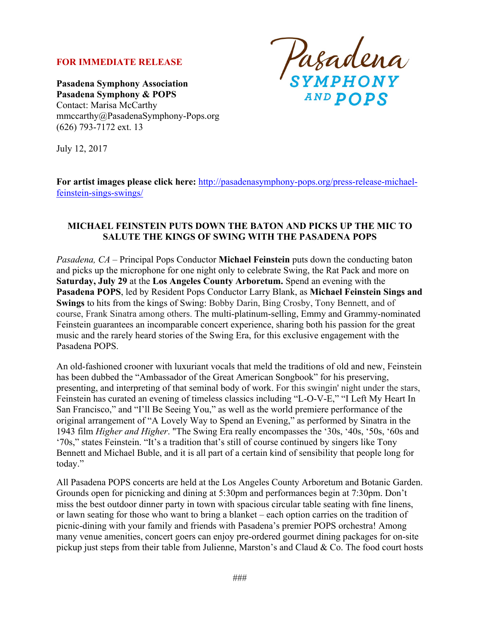## **FOR IMMEDIATE RELEASE**

**Pasadena Symphony Association Pasadena Symphony & POPS** Contact: Marisa McCarthy mmccarthy@PasadenaSymphony-Pops.org (626) 793-7172 ext. 13

Pasadena<br>symphony AND POPS

July 12, 2017

**For artist images please click here:** http://pasadenasymphony-pops.org/press-release-michaelfeinstein-sings-swings/

## **MICHAEL FEINSTEIN PUTS DOWN THE BATON AND PICKS UP THE MIC TO SALUTE THE KINGS OF SWING WITH THE PASADENA POPS**

*Pasadena, CA –* Principal Pops Conductor **Michael Feinstein** puts down the conducting baton and picks up the microphone for one night only to celebrate Swing, the Rat Pack and more on **Saturday, July 29** at the **Los Angeles County Arboretum.** Spend an evening with the **Pasadena POPS**, led by Resident Pops Conductor Larry Blank, as **Michael Feinstein Sings and Swings** to hits from the kings of Swing: Bobby Darin, Bing Crosby, Tony Bennett, and of course, Frank Sinatra among others. The multi-platinum-selling, Emmy and Grammy-nominated Feinstein guarantees an incomparable concert experience, sharing both his passion for the great music and the rarely heard stories of the Swing Era, for this exclusive engagement with the Pasadena POPS.

An old-fashioned crooner with luxuriant vocals that meld the traditions of old and new, Feinstein has been dubbed the "Ambassador of the Great American Songbook" for his preserving, presenting, and interpreting of that seminal body of work. For this swingin' night under the stars, Feinstein has curated an evening of timeless classics including "L-O-V-E," "I Left My Heart In San Francisco," and "I'll Be Seeing You," as well as the world premiere performance of the original arrangement of "A Lovely Way to Spend an Evening," as performed by Sinatra in the 1943 film *Higher and Higher*. "The Swing Era really encompasses the '30s, '40s, '50s, '60s and '70s," states Feinstein. "It's a tradition that's still of course continued by singers like Tony Bennett and Michael Buble, and it is all part of a certain kind of sensibility that people long for today."

All Pasadena POPS concerts are held at the Los Angeles County Arboretum and Botanic Garden. Grounds open for picnicking and dining at 5:30pm and performances begin at 7:30pm. Don't miss the best outdoor dinner party in town with spacious circular table seating with fine linens, or lawn seating for those who want to bring a blanket – each option carries on the tradition of picnic-dining with your family and friends with Pasadena's premier POPS orchestra! Among many venue amenities, concert goers can enjoy pre-ordered gourmet dining packages for on-site pickup just steps from their table from Julienne, Marston's and Claud & Co. The food court hosts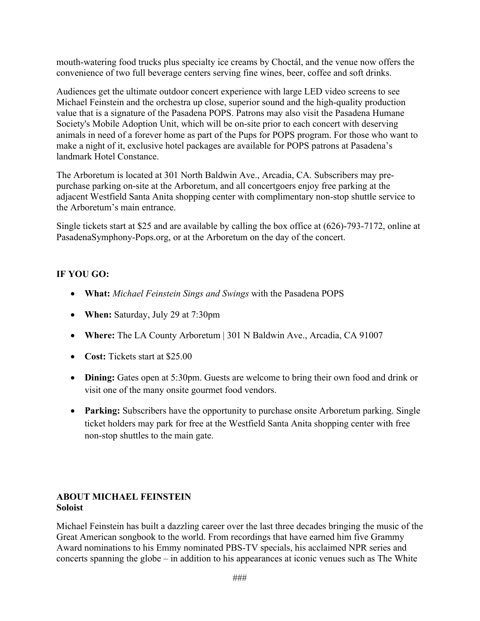mouth-watering food trucks plus specialty ice creams by Choctál, and the venue now offers the convenience of two full beverage centers serving fine wines, beer, coffee and soft drinks.

Audiences get the ultimate outdoor concert experience with large LED video screens to see Michael Feinstein and the orchestra up close, superior sound and the high-quality production value that is a signature of the Pasadena POPS. Patrons may also visit the Pasadena Humane Society's Mobile Adoption Unit, which will be on-site prior to each concert with deserving animals in need of a forever home as part of the Pups for POPS program. For those who want to make a night of it, exclusive hotel packages are available for POPS patrons at Pasadena's landmark Hotel Constance.

The Arboretum is located at 301 North Baldwin Ave., Arcadia, CA. Subscribers may prepurchase parking on-site at the Arboretum, and all concertgoers enjoy free parking at the adjacent Westfield Santa Anita shopping center with complimentary non-stop shuttle service to the Arboretum's main entrance.

Single tickets start at \$25 and are available by calling the box office at (626)-793-7172, online at PasadenaSymphony-Pops.org, or at the Arboretum on the day of the concert.

# **IF YOU GO:**

- **What:** *Michael Feinstein Sings and Swings* with the Pasadena POPS
- **When:** Saturday, July 29 at 7:30pm
- **Where:** The LA County Arboretum | 301 N Baldwin Ave., Arcadia, CA 91007
- **Cost:** Tickets start at \$25.00
- **Dining:** Gates open at 5:30pm. Guests are welcome to bring their own food and drink or visit one of the many onsite gourmet food vendors.
- **Parking:** Subscribers have the opportunity to purchase onsite Arboretum parking. Single ticket holders may park for free at the Westfield Santa Anita shopping center with free non-stop shuttles to the main gate.

## **ABOUT MICHAEL FEINSTEIN Soloist**

Michael Feinstein has built a dazzling career over the last three decades bringing the music of the Great American songbook to the world. From recordings that have earned him five Grammy Award nominations to his Emmy nominated PBS-TV specials, his acclaimed NPR series and concerts spanning the globe – in addition to his appearances at iconic venues such as The White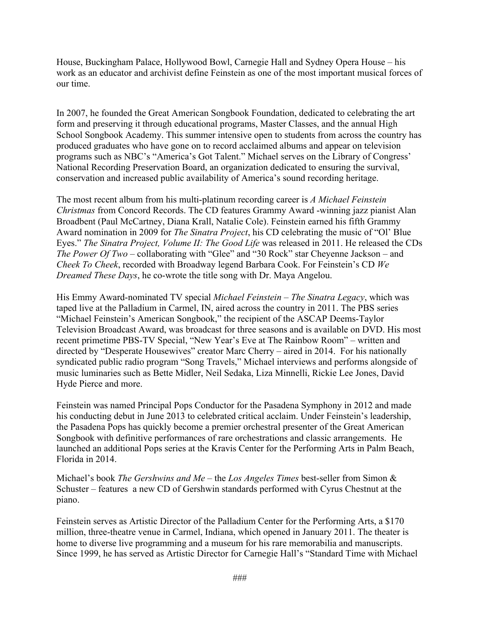House, Buckingham Palace, Hollywood Bowl, Carnegie Hall and Sydney Opera House – his work as an educator and archivist define Feinstein as one of the most important musical forces of our time.

In 2007, he founded the Great American Songbook Foundation, dedicated to celebrating the art form and preserving it through educational programs, Master Classes, and the annual High School Songbook Academy. This summer intensive open to students from across the country has produced graduates who have gone on to record acclaimed albums and appear on television programs such as NBC's "America's Got Talent." Michael serves on the Library of Congress' National Recording Preservation Board, an organization dedicated to ensuring the survival, conservation and increased public availability of America's sound recording heritage.

The most recent album from his multi-platinum recording career is *A Michael Feinstein Christmas* from Concord Records. The CD features Grammy Award -winning jazz pianist Alan Broadbent (Paul McCartney, Diana Krall, Natalie Cole). Feinstein earned his fifth Grammy Award nomination in 2009 for *The Sinatra Project*, his CD celebrating the music of "Ol' Blue Eyes." *The Sinatra Project, Volume II: The Good Life* was released in 2011. He released the CDs *The Power Of Two* – collaborating with "Glee" and "30 Rock" star Cheyenne Jackson – and *Cheek To Cheek*, recorded with Broadway legend Barbara Cook. For Feinstein's CD *We Dreamed These Days*, he co-wrote the title song with Dr. Maya Angelou.

His Emmy Award-nominated TV special *Michael Feinstein – The Sinatra Legacy*, which was taped live at the Palladium in Carmel, IN, aired across the country in 2011. The PBS series "Michael Feinstein's American Songbook," the recipient of the ASCAP Deems-Taylor Television Broadcast Award, was broadcast for three seasons and is available on DVD. His most recent primetime PBS-TV Special, "New Year's Eve at The Rainbow Room" *–* written and directed by "Desperate Housewives" creator Marc Cherry *–* aired in 2014. For his nationally syndicated public radio program "Song Travels," Michael interviews and performs alongside of music luminaries such as Bette Midler, Neil Sedaka, Liza Minnelli, Rickie Lee Jones, David Hyde Pierce and more.

Feinstein was named Principal Pops Conductor for the Pasadena Symphony in 2012 and made his conducting debut in June 2013 to celebrated critical acclaim. Under Feinstein's leadership, the Pasadena Pops has quickly become a premier orchestral presenter of the Great American Songbook with definitive performances of rare orchestrations and classic arrangements. He launched an additional Pops series at the Kravis Center for the Performing Arts in Palm Beach, Florida in 2014.

Michael's book *The Gershwins and Me* – the *Los Angeles Times* best-seller from Simon & Schuster – features a new CD of Gershwin standards performed with Cyrus Chestnut at the piano.

Feinstein serves as Artistic Director of the Palladium Center for the Performing Arts, a \$170 million, three-theatre venue in Carmel, Indiana, which opened in January 2011. The theater is home to diverse live programming and a museum for his rare memorabilia and manuscripts. Since 1999, he has served as Artistic Director for Carnegie Hall's "Standard Time with Michael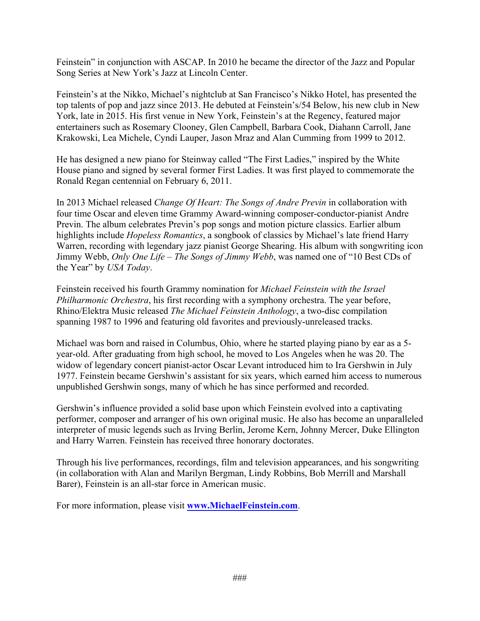Feinstein" in conjunction with ASCAP. In 2010 he became the director of the Jazz and Popular Song Series at New York's Jazz at Lincoln Center.

Feinstein's at the Nikko, Michael's nightclub at San Francisco's Nikko Hotel, has presented the top talents of pop and jazz since 2013. He debuted at Feinstein's/54 Below, his new club in New York, late in 2015. His first venue in New York, Feinstein's at the Regency, featured major entertainers such as Rosemary Clooney, Glen Campbell, Barbara Cook, Diahann Carroll, Jane Krakowski, Lea Michele, Cyndi Lauper, Jason Mraz and Alan Cumming from 1999 to 2012.

He has designed a new piano for Steinway called "The First Ladies," inspired by the White House piano and signed by several former First Ladies. It was first played to commemorate the Ronald Regan centennial on February 6, 2011.

In 2013 Michael released *Change Of Heart: The Songs of Andre Previn* in collaboration with four time Oscar and eleven time Grammy Award-winning composer-conductor-pianist Andre Previn. The album celebrates Previn's pop songs and motion picture classics. Earlier album highlights include *Hopeless Romantics*, a songbook of classics by Michael's late friend Harry Warren, recording with legendary jazz pianist George Shearing. His album with songwriting icon Jimmy Webb, *Only One Life – The Songs of Jimmy Webb*, was named one of "10 Best CDs of the Year" by *USA Today*.

Feinstein received his fourth Grammy nomination for *Michael Feinstein with the Israel Philharmonic Orchestra*, his first recording with a symphony orchestra. The year before, Rhino/Elektra Music released *The Michael Feinstein Anthology*, a two-disc compilation spanning 1987 to 1996 and featuring old favorites and previously-unreleased tracks.

Michael was born and raised in Columbus, Ohio, where he started playing piano by ear as a 5 year-old. After graduating from high school, he moved to Los Angeles when he was 20. The widow of legendary concert pianist-actor Oscar Levant introduced him to Ira Gershwin in July 1977. Feinstein became Gershwin's assistant for six years, which earned him access to numerous unpublished Gershwin songs, many of which he has since performed and recorded.

Gershwin's influence provided a solid base upon which Feinstein evolved into a captivating performer, composer and arranger of his own original music. He also has become an unparalleled interpreter of music legends such as Irving Berlin, Jerome Kern, Johnny Mercer, Duke Ellington and Harry Warren. Feinstein has received three honorary doctorates.

Through his live performances, recordings, film and television appearances, and his songwriting (in collaboration with Alan and Marilyn Bergman, Lindy Robbins, Bob Merrill and Marshall Barer), Feinstein is an all-star force in American music.

For more information, please visit **www.MichaelFeinstein.com**.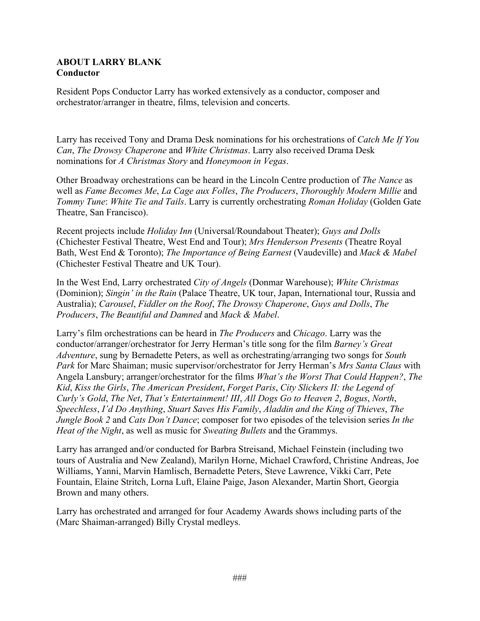#### **ABOUT LARRY BLANK Conductor**

Resident Pops Conductor Larry has worked extensively as a conductor, composer and orchestrator/arranger in theatre, films, television and concerts.

Larry has received Tony and Drama Desk nominations for his orchestrations of *Catch Me If You Can*, *The Drowsy Chaperone* and *White Christmas*. Larry also received Drama Desk nominations for *A Christmas Story* and *Honeymoon in Vegas*.

Other Broadway orchestrations can be heard in the Lincoln Centre production of *The Nance* as well as *Fame Becomes Me*, *La Cage aux Folles*, *The Producers*, *Thoroughly Modern Millie* and *Tommy Tune*: *White Tie and Tails*. Larry is currently orchestrating *Roman Holiday* (Golden Gate Theatre, San Francisco).

Recent projects include *Holiday Inn* (Universal/Roundabout Theater); *Guys and Dolls* (Chichester Festival Theatre, West End and Tour); *Mrs Henderson Presents* (Theatre Royal Bath, West End & Toronto); *The Importance of Being Earnest* (Vaudeville) and *Mack & Mabel*  (Chichester Festival Theatre and UK Tour).

In the West End, Larry orchestrated *City of Angels* (Donmar Warehouse); *White Christmas*  (Dominion); *Singin' in the Rain* (Palace Theatre, UK tour, Japan, International tour, Russia and Australia); *Carousel*, *Fiddler on the Roof*, *The Drowsy Chaperone*, *Guys and Dolls*, *The Producers*, *The Beautiful and Damned* and *Mack & Mabel*.

Larry's film orchestrations can be heard in *The Producers* and *Chicago*. Larry was the conductor/arranger/orchestrator for Jerry Herman's title song for the film *Barney's Great Adventure*, sung by Bernadette Peters, as well as orchestrating/arranging two songs for *South Park* for Marc Shaiman; music supervisor/orchestrator for Jerry Herman's *Mrs Santa Claus* with Angela Lansbury; arranger/orchestrator for the films *What's the Worst That Could Happen?*, *The Kid*, *Kiss the Girls*, *The American President*, *Forget Paris*, *City Slickers II: the Legend of Curly's Gold*, *The Net*, *That's Entertainment! III*, *All Dogs Go to Heaven 2*, *Bogus*, *North*, *Speechless*, *I'd Do Anything*, *Stuart Saves His Family*, *Aladdin and the King of Thieves*, *The Jungle Book 2* and *Cats Don't Dance*; composer for two episodes of the television series *In the Heat of the Night*, as well as music for *Sweating Bullets* and the Grammys.

Larry has arranged and/or conducted for Barbra Streisand, Michael Feinstein (including two tours of Australia and New Zealand), Marilyn Horne, Michael Crawford, Christine Andreas, Joe Williams, Yanni, Marvin Hamlisch, Bernadette Peters, Steve Lawrence, Vikki Carr, Pete Fountain, Elaine Stritch, Lorna Luft, Elaine Paige, Jason Alexander, Martin Short, Georgia Brown and many others.

Larry has orchestrated and arranged for four Academy Awards shows including parts of the (Marc Shaiman-arranged) Billy Crystal medleys.